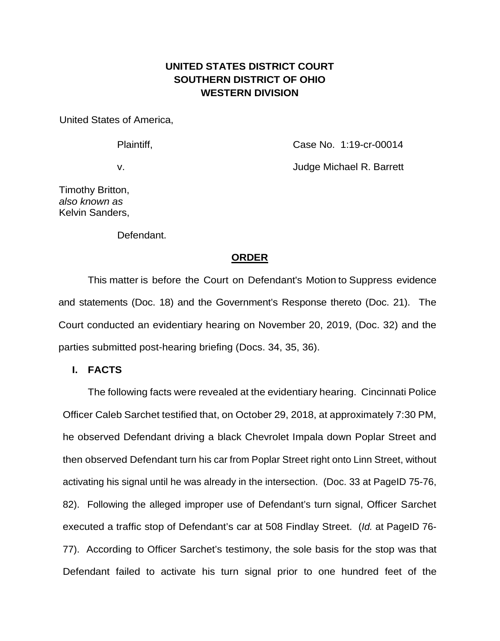## **UNITED STATES DISTRICT COURT SOUTHERN DISTRICT OF OHIO WESTERN DIVISION**

United States of America,

Plaintiff, Case No. 1:19-cr-00014

v. Judge Michael R. Barrett

Timothy Britton, *also known as* Kelvin Sanders,

Defendant.

## **ORDER**

This matter is before the Court on Defendant's Motion to Suppress evidence and statements (Doc. 18) and the Government's Response thereto (Doc. 21). The Court conducted an evidentiary hearing on November 20, 2019, (Doc. 32) and the parties submitted post-hearing briefing (Docs. 34, 35, 36).

**I. FACTS**

The following facts were revealed at the evidentiary hearing. Cincinnati Police Officer Caleb Sarchet testified that, on October 29, 2018, at approximately 7:30 PM, he observed Defendant driving a black Chevrolet Impala down Poplar Street and then observed Defendant turn his car from Poplar Street right onto Linn Street, without activating his signal until he was already in the intersection. (Doc. 33 at PageID 75-76, 82). Following the alleged improper use of Defendant's turn signal, Officer Sarchet executed a traffic stop of Defendant's car at 508 Findlay Street. (*Id.* at PageID 76- 77). According to Officer Sarchet's testimony, the sole basis for the stop was that Defendant failed to activate his turn signal prior to one hundred feet of the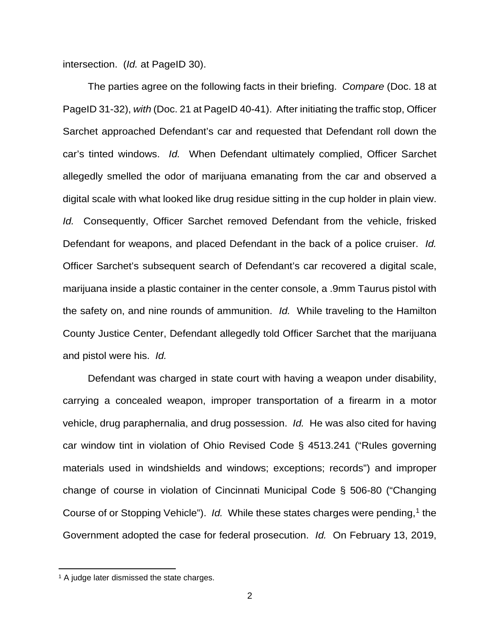intersection. (*Id.* at PageID 30).

The parties agree on the following facts in their briefing. *Compare* (Doc. 18 at PageID 31-32), *with* (Doc. 21 at PageID 40-41). After initiating the traffic stop, Officer Sarchet approached Defendant's car and requested that Defendant roll down the car's tinted windows. *Id.* When Defendant ultimately complied, Officer Sarchet allegedly smelled the odor of marijuana emanating from the car and observed a digital scale with what looked like drug residue sitting in the cup holder in plain view. *Id.* Consequently, Officer Sarchet removed Defendant from the vehicle, frisked Defendant for weapons, and placed Defendant in the back of a police cruiser. *Id.* Officer Sarchet's subsequent search of Defendant's car recovered a digital scale, marijuana inside a plastic container in the center console, a .9mm Taurus pistol with the safety on, and nine rounds of ammunition. *Id.* While traveling to the Hamilton County Justice Center, Defendant allegedly told Officer Sarchet that the marijuana and pistol were his. *Id.*

Defendant was charged in state court with having a weapon under disability, carrying a concealed weapon, improper transportation of a firearm in a motor vehicle, drug paraphernalia, and drug possession. *Id.* He was also cited for having car window tint in violation of Ohio Revised Code § 4513.241 ("Rules governing materials used in windshields and windows; exceptions; records") and improper change of course in violation of Cincinnati Municipal Code § 506-80 ("Changing Course of or Stopping Vehicle"). *Id.* While these states charges were pending,<sup>[1](#page-1-0)</sup> the Government adopted the case for federal prosecution. *Id.* On February 13, 2019,

**.** 

<span id="page-1-0"></span><sup>&</sup>lt;sup>1</sup> A judge later dismissed the state charges.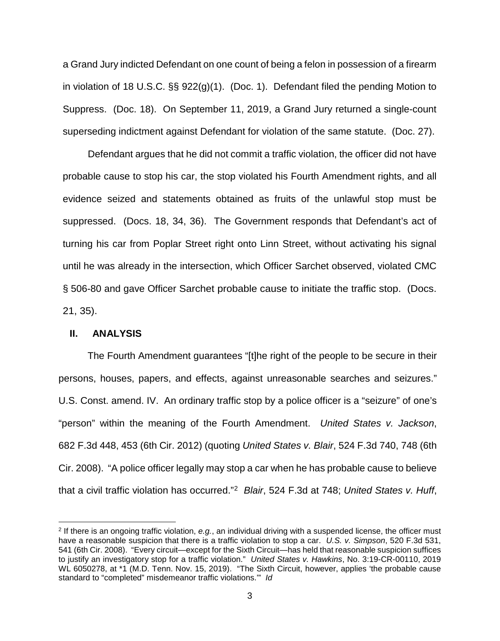a Grand Jury indicted Defendant on one count of being a felon in possession of a firearm in violation of 18 U.S.C. §§ 922(g)(1). (Doc. 1). Defendant filed the pending Motion to Suppress. (Doc. 18). On September 11, 2019, a Grand Jury returned a single-count superseding indictment against Defendant for violation of the same statute. (Doc. 27).

Defendant argues that he did not commit a traffic violation, the officer did not have probable cause to stop his car, the stop violated his Fourth Amendment rights, and all evidence seized and statements obtained as fruits of the unlawful stop must be suppressed. (Docs. 18, 34, 36). The Government responds that Defendant's act of turning his car from Poplar Street right onto Linn Street, without activating his signal until he was already in the intersection, which Officer Sarchet observed, violated CMC § 506-80 and gave Officer Sarchet probable cause to initiate the traffic stop. (Docs. 21, 35).

## **II. ANALYSIS**

 $\overline{a}$ 

The Fourth Amendment guarantees "[t]he right of the people to be secure in their persons, houses, papers, and effects, against unreasonable searches and seizures." U.S. Const. amend. IV. An ordinary traffic stop by a police officer is a "seizure" of one's "person" within the meaning of the Fourth Amendment. *United States v. Jackson*, 682 F.3d 448, 453 (6th Cir. 2012) (quoting *United States v. Blair*, 524 F.3d 740, 748 (6th Cir. 2008). "A police officer legally may stop a car when he has probable cause to believe that a civil traffic violation has occurred."[2](#page-2-0) *Blair*, 524 F.3d at 748; *United States v. Huff*,

<span id="page-2-0"></span><sup>2</sup> If there is an ongoing traffic violation, *e.g.*, an individual driving with a suspended license, the officer must have a reasonable suspicion that there is a traffic violation to stop a car. *U.S. v. Simpson*, 520 F.3d 531, 541 (6th Cir. 2008). "Every circuit—except for the Sixth Circuit—has held that reasonable suspicion suffices to justify an investigatory stop for a traffic violation." *United States v. Hawkins*, No. 3:19-CR-00110, 2019 WL 6050278, at \*1 (M.D. Tenn. Nov. 15, 2019). "The Sixth Circuit, however, applies 'the probable cause standard to "completed" misdemeanor traffic violations.'" *Id*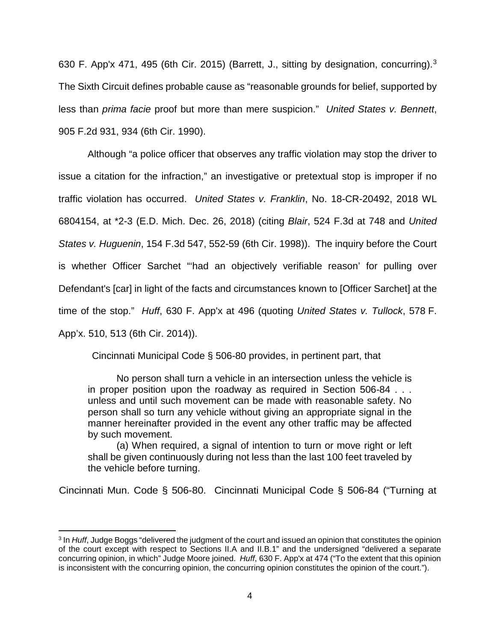630 F. App'x 471, 495 (6th Cir. 2015) (Barrett, J., sitting by designation, concurring).[3](#page-3-0)  The Sixth Circuit defines probable cause as "reasonable grounds for belief, supported by less than *prima facie* proof but more than mere suspicion." *United States v. Bennett*, 905 F.2d 931, 934 (6th Cir. 1990).

Although "a police officer that observes any traffic violation may stop the driver to issue a citation for the infraction," an investigative or pretextual stop is improper if no traffic violation has occurred. *United States v. Franklin*, No. 18-CR-20492, 2018 WL 6804154, at \*2-3 (E.D. Mich. Dec. 26, 2018) (citing *Blair*, 524 F.3d at 748 and *United States v. Huguenin*, 154 F.3d 547, 552-59 (6th Cir. 1998)). The inquiry before the Court is whether Officer Sarchet "'had an objectively verifiable reason' for pulling over Defendant's [car] in light of the facts and circumstances known to [Officer Sarchet] at the time of the stop." *Huff*, 630 F. App'x at 496 (quoting *United States v. Tullock*, 578 F. App'x. 510, 513 (6th Cir. 2014)).

Cincinnati Municipal Code § 506-80 provides, in pertinent part, that

No person shall turn a vehicle in an intersection unless the vehicle is in proper position upon the roadway as required in Section 506-84 . . . unless and until such movement can be made with reasonable safety. No person shall so turn any vehicle without giving an appropriate signal in the manner hereinafter provided in the event any other traffic may be affected by such movement.

(a) When required, a signal of intention to turn or move right or left shall be given continuously during not less than the last 100 feet traveled by the vehicle before turning.

Cincinnati Mun. Code § 506-80. Cincinnati Municipal Code § 506-84 ("Turning at

1

<span id="page-3-0"></span><sup>3</sup> In *Huff*, Judge Boggs "delivered the judgment of the court and issued an opinion that constitutes the opinion of the court except with respect to Sections II.A and II.B.1" and the undersigned "delivered a separate concurring opinion, in which" Judge Moore joined. *Huff*, 630 F. App'x at 474 ("To the extent that this opinion is inconsistent with the concurring opinion, the concurring opinion constitutes the opinion of the court.").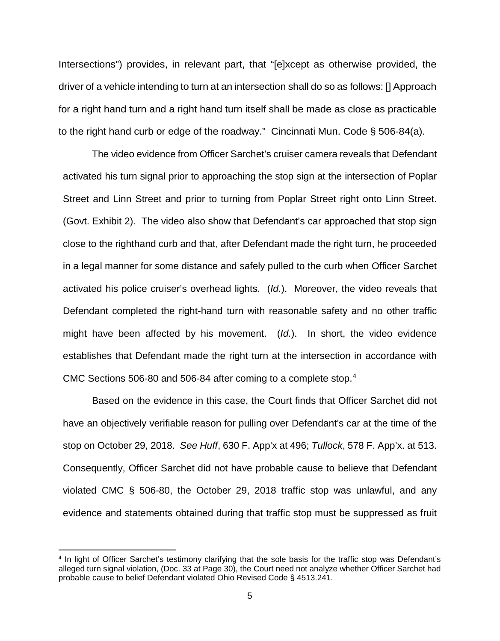Intersections") provides, in relevant part, that "[e]xcept as otherwise provided, the driver of a vehicle intending to turn at an intersection shall do so as follows: [] Approach for a right hand turn and a right hand turn itself shall be made as close as practicable to the right hand curb or edge of the roadway." Cincinnati Mun. Code § 506-84(a).

The video evidence from Officer Sarchet's cruiser camera reveals that Defendant activated his turn signal prior to approaching the stop sign at the intersection of Poplar Street and Linn Street and prior to turning from Poplar Street right onto Linn Street. (Govt. Exhibit 2). The video also show that Defendant's car approached that stop sign close to the righthand curb and that, after Defendant made the right turn, he proceeded in a legal manner for some distance and safely pulled to the curb when Officer Sarchet activated his police cruiser's overhead lights. (*Id.*). Moreover, the video reveals that Defendant completed the right-hand turn with reasonable safety and no other traffic might have been affected by his movement. (*Id.*). In short, the video evidence establishes that Defendant made the right turn at the intersection in accordance with CMC Sections 506-80 and 506-84 after coming to a complete stop.<sup>4</sup>

Based on the evidence in this case, the Court finds that Officer Sarchet did not have an objectively verifiable reason for pulling over Defendant's car at the time of the stop on October 29, 2018. *See Huff*, 630 F. App'x at 496; *Tullock*, 578 F. App'x. at 513. Consequently, Officer Sarchet did not have probable cause to believe that Defendant violated CMC § 506-80, the October 29, 2018 traffic stop was unlawful, and any evidence and statements obtained during that traffic stop must be suppressed as fruit

1

<span id="page-4-0"></span><sup>4</sup> In light of Officer Sarchet's testimony clarifying that the sole basis for the traffic stop was Defendant's alleged turn signal violation, (Doc. 33 at Page 30), the Court need not analyze whether Officer Sarchet had probable cause to belief Defendant violated Ohio Revised Code § 4513.241.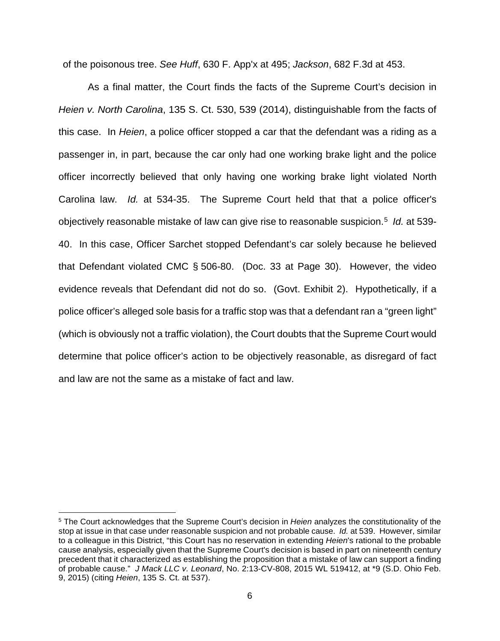of the poisonous tree. *See Huff*, 630 F. App'x at 495; *Jackson*, 682 F.3d at 453.

As a final matter, the Court finds the facts of the Supreme Court's decision in *Heien v. North Carolina*, 135 S. Ct. 530, 539 (2014), distinguishable from the facts of this case. In *Heien*, a police officer stopped a car that the defendant was a riding as a passenger in, in part, because the car only had one working brake light and the police officer incorrectly believed that only having one working brake light violated North Carolina law. *Id.* at 534-35. The Supreme Court held that that a police officer's objectively reasonable mistake of law can give rise to reasonable suspicion. [5](#page-5-0) *Id.* at 539- 40. In this case, Officer Sarchet stopped Defendant's car solely because he believed that Defendant violated CMC § 506-80. (Doc. 33 at Page 30). However, the video evidence reveals that Defendant did not do so. (Govt. Exhibit 2). Hypothetically, if a police officer's alleged sole basis for a traffic stop was that a defendant ran a "green light" (which is obviously not a traffic violation), the Court doubts that the Supreme Court would determine that police officer's action to be objectively reasonable, as disregard of fact and law are not the same as a mistake of fact and law.

**.** 

<span id="page-5-0"></span><sup>5</sup> The Court acknowledges that the Supreme Court's decision in *Heien* analyzes the constitutionality of the stop at issue in that case under reasonable suspicion and not probable cause. *Id.* at 539. However, similar to a colleague in this District, "this Court has no reservation in extending *Heien*'s rational to the probable cause analysis, especially given that the Supreme Court's decision is based in part on nineteenth century precedent that it characterized as establishing the proposition that a mistake of law can support a finding of probable cause." *J Mack LLC v. Leonard*, No. 2:13-CV-808, 2015 WL 519412, at \*9 (S.D. Ohio Feb. 9, 2015) (citing *Heien*, 135 S. Ct. at 537).